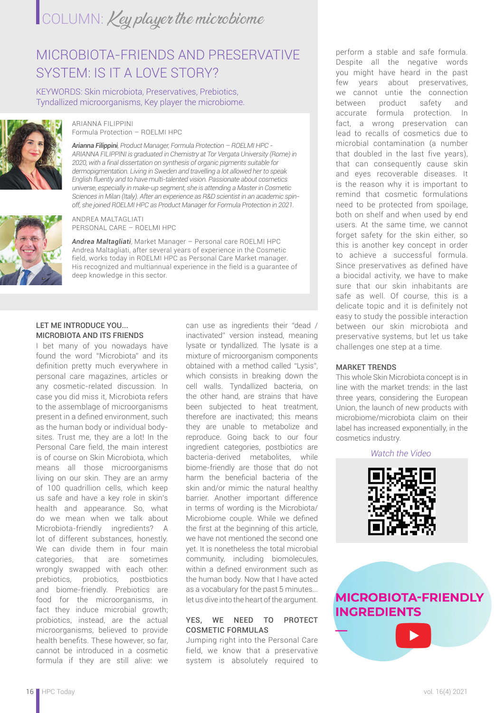# COLUMN: Key player the microbiome

## MICROBIOTA-FRIENDS AND PRESERVATIVE SYSTEM: IS IT A LOVE STORY?

KEYWORDS: Skin microbiota, Preservatives, Prebiotics, Tyndallized microorganisms, Key player the microbiome.



#### ARIANNA FILIPPINI Formula Protection – ROELMI HPC

*Arianna Filippini, Product Manager, Formula Protection – ROELMI HPC - ARIANNA FILIPPINI is graduated in Chemistry at Tor Vergata University (Rome) in 2020, with a final dissertation on synthesis of organic pigments suitable for dermopigmentation. Living in Sweden and travelling a lot allowed her to speak English fluently and to have multi-talented vision. Passionate about cosmetics universe, especially in make-up segment, she is attending a Master in Cosmetic Sciences in Milan (Italy). After an experience as R&D scientist in an academic spinoff, she joined ROELMI HPC as Product Manager for Formula Protection in 2021.*



ANDREA MALTAGLIATI PERSONAL CARE – ROELMI HPC

*Andrea Maltagliati*, Market Manager – Personal care ROELMI HPC Andrea Maltagliati, after several years of experience in the Cosmetic field, works today in ROELMI HPC as Personal Care Market manager. His recognized and multiannual experience in the field is a guarantee of deep knowledge in this sector.

#### LET ME INTRODUCE YOU... MICROBIOTA AND ITS FRIENDS

I bet many of you nowadays have found the word "Microbiota" and its definition pretty much everywhere in personal care magazines, articles or any cosmetic-related discussion. In case you did miss it, Microbiota refers to the assemblage of microorganisms present in a defined environment, such as the human body or individual bodysites. Trust me, they are a lot! In the Personal Care field, the main interest is of course on Skin Microbiota, which means all those microorganisms living on our skin. They are an army of 100 quadrillion cells, which keep us safe and have a key role in skin's health and appearance. So, what do we mean when we talk about Microbiota-friendly ingredients? A lot of different substances, honestly. We can divide them in four main categories, that are sometimes wrongly swapped with each other: prebiotics, probiotics, postbiotics and biome-friendly. Prebiotics are food for the microorganisms, in fact they induce microbial growth; probiotics, instead, are the actual microorganisms, believed to provide health benefits. These however, so far, cannot be introduced in a cosmetic formula if they are still alive: we

can use as ingredients their "dead / inactivated" version instead, meaning lysate or tyndallized. The lysate is a mixture of microorganism components obtained with a method called "Lysis", which consists in breaking down the cell walls. Tyndallized bacteria, on the other hand, are strains that have been subjected to heat treatment, therefore are inactivated; this means they are unable to metabolize and reproduce. Going back to our four ingredient categories, postbiotics are bacteria-derived metabolites, while biome-friendly are those that do not harm the beneficial bacteria of the skin and/or mimic the natural healthy barrier. Another important difference in terms of wording is the Microbiota/ Microbiome couple. While we defined the first at the beginning of this article, we have not mentioned the second one yet. It is nonetheless the total microbial community, including biomolecules, within a defined environment such as the human body. Now that I have acted as a vocabulary for the past 5 minutes... let us dive into the heart of the argument.

### YES, WE NEED TO PROTECT COSMETIC FORMULAS

Jumping right into the Personal Care field, we know that a preservative system is absolutely required to

perform a stable and safe formula. Despite all the negative words you might have heard in the past few years about preservatives, we cannot untie the connection between product safety and accurate formula protection. In fact, a wrong preservation can lead to recalls of cosmetics due to microbial contamination (a number that doubled in the last five years), that can consequently cause skin and eyes recoverable diseases. It is the reason why it is important to remind that cosmetic formulations need to be protected from spoilage, both on shelf and when used by end users. At the same time, we cannot forget safety for the skin either, so this is another key concept in order to achieve a successful formula. Since preservatives as defined have a biocidal activity, we have to make sure that our skin inhabitants are safe as well. Of course, this is a delicate topic and it is definitely not easy to study the possible interaction between our skin microbiota and preservative systems, but let us take challenges one step at a time.

### MARKET TRENDS

This whole Skin Microbiota concept is in line with the market trends: in the last three years, considering the European Union, the launch of new products with microbiome/microbiota claim on their label has increased exponentially, in the cosmetics industry.

*Watch the Video*